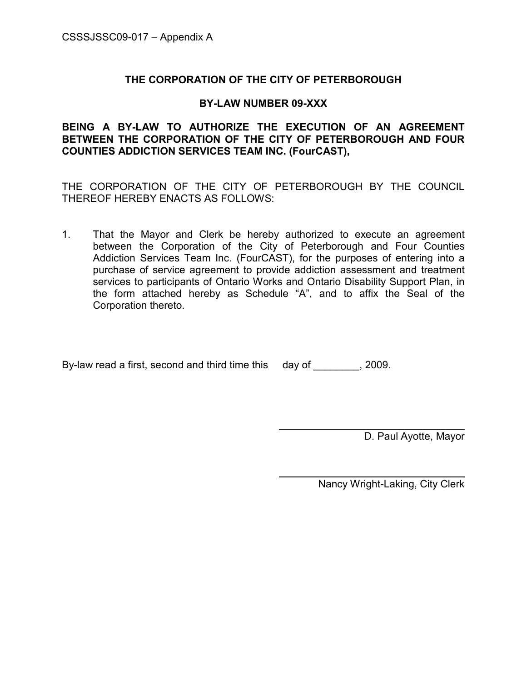## THE CORPORATION OF THE CITY OF PETERBOROUGH

#### BY-LAW NUMBER 09-XXX

BEING A BY-LAW TO AUTHORIZE THE EXECUTION OF AN AGREEMENT BETWEEN THE CORPORATION OF THE CITY OF PETERBOROUGH AND FOUR COUNTIES ADDICTION SERVICES TEAM INC. (FourCAST),

THE CORPORATION OF THE CITY OF PETERBOROUGH BY THE COUNCIL THEREOF HEREBY ENACTS AS FOLLOWS:

1. That the Mayor and Clerk be hereby authorized to execute an agreement between the Corporation of the City of Peterborough and Four Counties Addiction Services Team Inc. (FourCAST), for the purposes of entering into a purchase of service agreement to provide addiction assessment and treatment services to participants of Ontario Works and Ontario Disability Support Plan, in the form attached hereby as Schedule "A", and to affix the Seal of the Corporation thereto.

 $\overline{a}$ 

By-law read a first, second and third time this day of \_\_\_\_\_\_\_, 2009.

D. Paul Ayotte, Mayor

Nancy Wright-Laking, City Clerk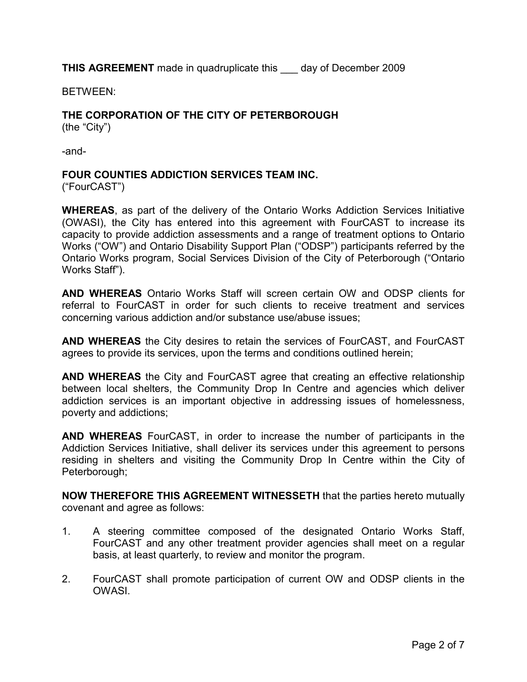THIS AGREEMENT made in quadruplicate this \_\_\_ day of December 2009

BETWEEN:

# THE CORPORATION OF THE CITY OF PETERBOROUGH

(the "City")

-and-

### FOUR COUNTIES ADDICTION SERVICES TEAM INC.

("FourCAST")

WHEREAS, as part of the delivery of the Ontario Works Addiction Services Initiative (OWASI), the City has entered into this agreement with FourCAST to increase its capacity to provide addiction assessments and a range of treatment options to Ontario Works ("OW") and Ontario Disability Support Plan ("ODSP") participants referred by the Ontario Works program, Social Services Division of the City of Peterborough ("Ontario Works Staff").

AND WHEREAS Ontario Works Staff will screen certain OW and ODSP clients for referral to FourCAST in order for such clients to receive treatment and services concerning various addiction and/or substance use/abuse issues;

AND WHEREAS the City desires to retain the services of FourCAST, and FourCAST agrees to provide its services, upon the terms and conditions outlined herein;

AND WHEREAS the City and FourCAST agree that creating an effective relationship between local shelters, the Community Drop In Centre and agencies which deliver addiction services is an important objective in addressing issues of homelessness, poverty and addictions;

AND WHEREAS FourCAST, in order to increase the number of participants in the Addiction Services Initiative, shall deliver its services under this agreement to persons residing in shelters and visiting the Community Drop In Centre within the City of Peterborough;

NOW THEREFORE THIS AGREEMENT WITNESSETH that the parties hereto mutually covenant and agree as follows:

- 1. A steering committee composed of the designated Ontario Works Staff, FourCAST and any other treatment provider agencies shall meet on a regular basis, at least quarterly, to review and monitor the program.
- 2. FourCAST shall promote participation of current OW and ODSP clients in the **OWASI**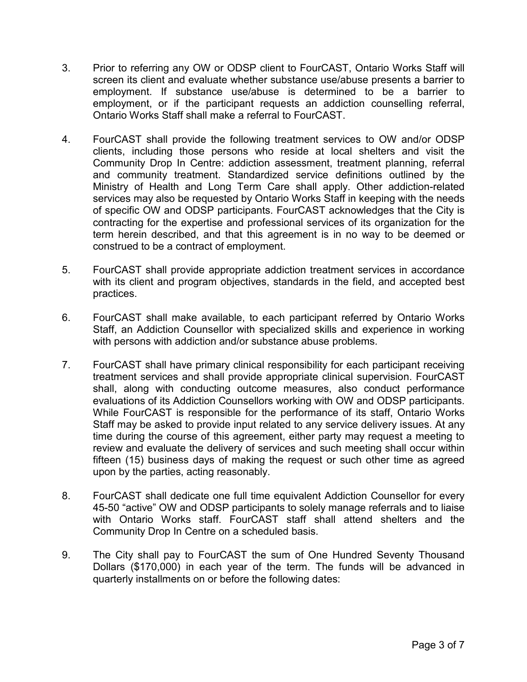- 3. Prior to referring any OW or ODSP client to FourCAST, Ontario Works Staff will screen its client and evaluate whether substance use/abuse presents a barrier to employment. If substance use/abuse is determined to be a barrier to employment, or if the participant requests an addiction counselling referral, Ontario Works Staff shall make a referral to FourCAST.
- 4. FourCAST shall provide the following treatment services to OW and/or ODSP clients, including those persons who reside at local shelters and visit the Community Drop In Centre: addiction assessment, treatment planning, referral and community treatment. Standardized service definitions outlined by the Ministry of Health and Long Term Care shall apply. Other addiction-related services may also be requested by Ontario Works Staff in keeping with the needs of specific OW and ODSP participants. FourCAST acknowledges that the City is contracting for the expertise and professional services of its organization for the term herein described, and that this agreement is in no way to be deemed or construed to be a contract of employment.
- 5. FourCAST shall provide appropriate addiction treatment services in accordance with its client and program objectives, standards in the field, and accepted best practices.
- 6. FourCAST shall make available, to each participant referred by Ontario Works Staff, an Addiction Counsellor with specialized skills and experience in working with persons with addiction and/or substance abuse problems.
- 7. FourCAST shall have primary clinical responsibility for each participant receiving treatment services and shall provide appropriate clinical supervision. FourCAST shall, along with conducting outcome measures, also conduct performance evaluations of its Addiction Counsellors working with OW and ODSP participants. While FourCAST is responsible for the performance of its staff, Ontario Works Staff may be asked to provide input related to any service delivery issues. At any time during the course of this agreement, either party may request a meeting to review and evaluate the delivery of services and such meeting shall occur within fifteen (15) business days of making the request or such other time as agreed upon by the parties, acting reasonably.
- 8. FourCAST shall dedicate one full time equivalent Addiction Counsellor for every 45-50 "active" OW and ODSP participants to solely manage referrals and to liaise with Ontario Works staff. FourCAST staff shall attend shelters and the Community Drop In Centre on a scheduled basis.
- 9. The City shall pay to FourCAST the sum of One Hundred Seventy Thousand Dollars (\$170,000) in each year of the term. The funds will be advanced in quarterly installments on or before the following dates: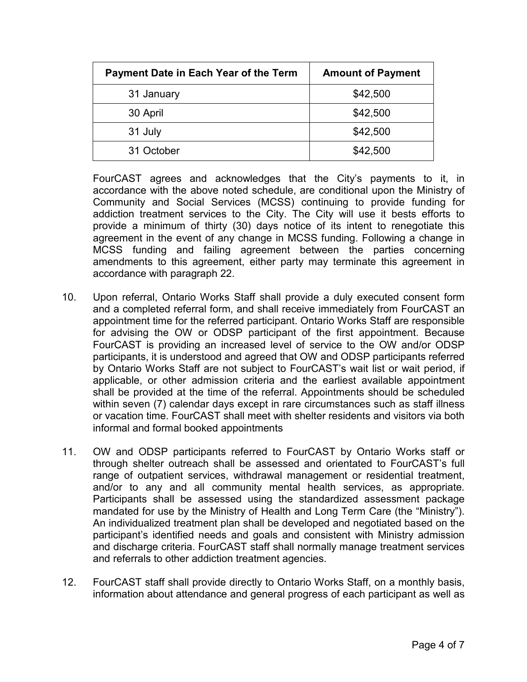| Payment Date in Each Year of the Term | <b>Amount of Payment</b> |
|---------------------------------------|--------------------------|
| 31 January                            | \$42,500                 |
| 30 April                              | \$42,500                 |
| 31 July                               | \$42,500                 |
| 31 October                            | \$42,500                 |

FourCAST agrees and acknowledges that the City's payments to it, in accordance with the above noted schedule, are conditional upon the Ministry of Community and Social Services (MCSS) continuing to provide funding for addiction treatment services to the City. The City will use it bests efforts to provide a minimum of thirty (30) days notice of its intent to renegotiate this agreement in the event of any change in MCSS funding. Following a change in MCSS funding and failing agreement between the parties concerning amendments to this agreement, either party may terminate this agreement in accordance with paragraph 22.

- 10. Upon referral, Ontario Works Staff shall provide a duly executed consent form and a completed referral form, and shall receive immediately from FourCAST an appointment time for the referred participant. Ontario Works Staff are responsible for advising the OW or ODSP participant of the first appointment. Because FourCAST is providing an increased level of service to the OW and/or ODSP participants, it is understood and agreed that OW and ODSP participants referred by Ontario Works Staff are not subject to FourCAST's wait list or wait period, if applicable, or other admission criteria and the earliest available appointment shall be provided at the time of the referral. Appointments should be scheduled within seven (7) calendar days except in rare circumstances such as staff illness or vacation time. FourCAST shall meet with shelter residents and visitors via both informal and formal booked appointments
- 11. OW and ODSP participants referred to FourCAST by Ontario Works staff or through shelter outreach shall be assessed and orientated to FourCAST's full range of outpatient services, withdrawal management or residential treatment, and/or to any and all community mental health services, as appropriate. Participants shall be assessed using the standardized assessment package mandated for use by the Ministry of Health and Long Term Care (the "Ministry"). An individualized treatment plan shall be developed and negotiated based on the participant's identified needs and goals and consistent with Ministry admission and discharge criteria. FourCAST staff shall normally manage treatment services and referrals to other addiction treatment agencies.
- 12. FourCAST staff shall provide directly to Ontario Works Staff, on a monthly basis, information about attendance and general progress of each participant as well as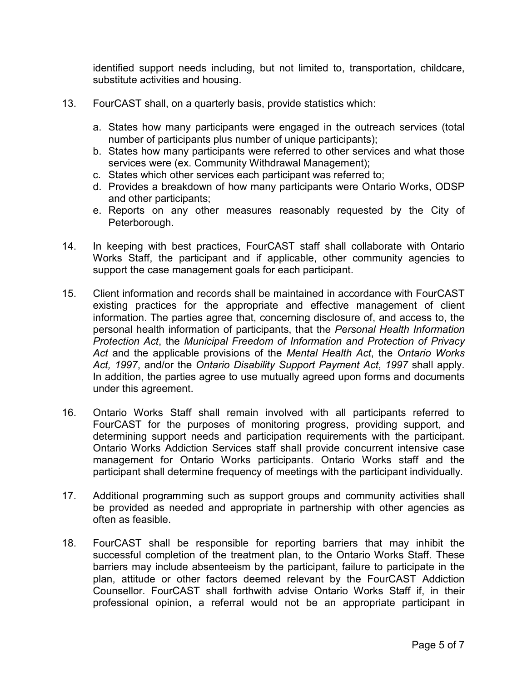identified support needs including, but not limited to, transportation, childcare, substitute activities and housing.

- 13. FourCAST shall, on a quarterly basis, provide statistics which:
	- a. States how many participants were engaged in the outreach services (total number of participants plus number of unique participants);
	- b. States how many participants were referred to other services and what those services were (ex. Community Withdrawal Management);
	- c. States which other services each participant was referred to;
	- d. Provides a breakdown of how many participants were Ontario Works, ODSP and other participants;
	- e. Reports on any other measures reasonably requested by the City of Peterborough.
- 14. In keeping with best practices, FourCAST staff shall collaborate with Ontario Works Staff, the participant and if applicable, other community agencies to support the case management goals for each participant.
- 15. Client information and records shall be maintained in accordance with FourCAST existing practices for the appropriate and effective management of client information. The parties agree that, concerning disclosure of, and access to, the personal health information of participants, that the Personal Health Information Protection Act, the Municipal Freedom of Information and Protection of Privacy Act and the applicable provisions of the Mental Health Act, the Ontario Works Act, 1997, and/or the Ontario Disability Support Payment Act, 1997 shall apply. In addition, the parties agree to use mutually agreed upon forms and documents under this agreement.
- 16. Ontario Works Staff shall remain involved with all participants referred to FourCAST for the purposes of monitoring progress, providing support, and determining support needs and participation requirements with the participant. Ontario Works Addiction Services staff shall provide concurrent intensive case management for Ontario Works participants. Ontario Works staff and the participant shall determine frequency of meetings with the participant individually.
- 17. Additional programming such as support groups and community activities shall be provided as needed and appropriate in partnership with other agencies as often as feasible.
- 18. FourCAST shall be responsible for reporting barriers that may inhibit the successful completion of the treatment plan, to the Ontario Works Staff. These barriers may include absenteeism by the participant, failure to participate in the plan, attitude or other factors deemed relevant by the FourCAST Addiction Counsellor. FourCAST shall forthwith advise Ontario Works Staff if, in their professional opinion, a referral would not be an appropriate participant in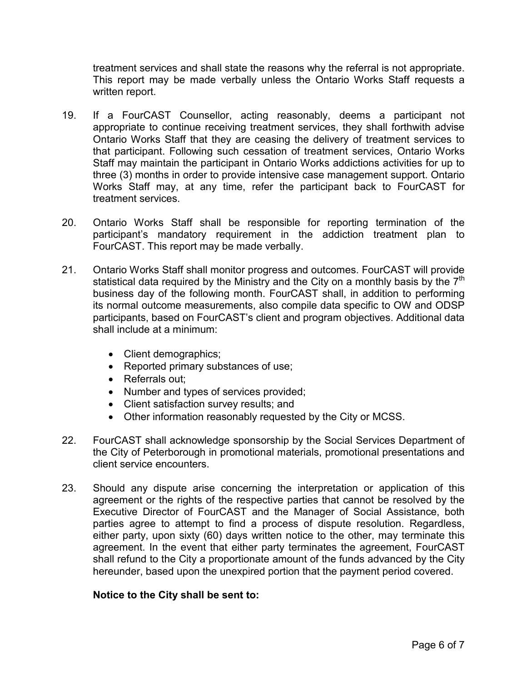treatment services and shall state the reasons why the referral is not appropriate. This report may be made verbally unless the Ontario Works Staff requests a written report.

- 19. If a FourCAST Counsellor, acting reasonably, deems a participant not appropriate to continue receiving treatment services, they shall forthwith advise Ontario Works Staff that they are ceasing the delivery of treatment services to that participant. Following such cessation of treatment services, Ontario Works Staff may maintain the participant in Ontario Works addictions activities for up to three (3) months in order to provide intensive case management support. Ontario Works Staff may, at any time, refer the participant back to FourCAST for treatment services.
- 20. Ontario Works Staff shall be responsible for reporting termination of the participant's mandatory requirement in the addiction treatment plan to FourCAST. This report may be made verbally.
- 21. Ontario Works Staff shall monitor progress and outcomes. FourCAST will provide statistical data required by the Ministry and the City on a monthly basis by the  $7<sup>th</sup>$ business day of the following month. FourCAST shall, in addition to performing its normal outcome measurements, also compile data specific to OW and ODSP participants, based on FourCAST's client and program objectives. Additional data shall include at a minimum:
	- Client demographics;
	- Reported primary substances of use;
	- Referrals out;
	- Number and types of services provided;
	- Client satisfaction survey results; and
	- Other information reasonably requested by the City or MCSS.
- 22. FourCAST shall acknowledge sponsorship by the Social Services Department of the City of Peterborough in promotional materials, promotional presentations and client service encounters.
- 23. Should any dispute arise concerning the interpretation or application of this agreement or the rights of the respective parties that cannot be resolved by the Executive Director of FourCAST and the Manager of Social Assistance, both parties agree to attempt to find a process of dispute resolution. Regardless, either party, upon sixty (60) days written notice to the other, may terminate this agreement. In the event that either party terminates the agreement, FourCAST shall refund to the City a proportionate amount of the funds advanced by the City hereunder, based upon the unexpired portion that the payment period covered.

## Notice to the City shall be sent to: